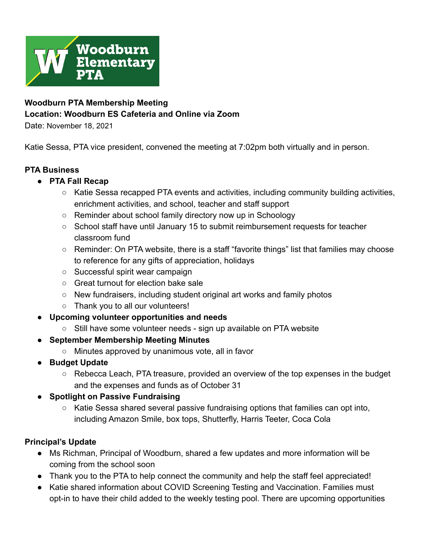

# **Woodburn PTA Membership Meeting Location: Woodburn ES Cafeteria and Online via Zoom**

Date: November 18, 2021

Katie Sessa, PTA vice president, convened the meeting at 7:02pm both virtually and in person.

## **PTA Business**

- **● PTA Fall Recap**
	- Katie Sessa recapped PTA events and activities, including community building activities, enrichment activities, and school, teacher and staff support
	- Reminder about school family directory now up in Schoology
	- School staff have until January 15 to submit reimbursement requests for teacher classroom fund
	- Reminder: On PTA website, there is a staff "favorite things" list that families may choose to reference for any gifts of appreciation, holidays
	- Successful spirit wear campaign
	- Great turnout for election bake sale
	- New fundraisers, including student original art works and family photos
	- Thank you to all our volunteers!
- **● Upcoming volunteer opportunities and needs**
	- **○** Still have some volunteer needs sign up available on PTA website
- **September Membership Meeting Minutes**
	- Minutes approved by unanimous vote, all in favor
- **● Budget Update**
	- Rebecca Leach, PTA treasure, provided an overview of the top expenses in the budget and the expenses and funds as of October 31

## **● Spotlight on Passive Fundraising**

○ Katie Sessa shared several passive fundraising options that families can opt into, including Amazon Smile, box tops, Shutterfly, Harris Teeter, Coca Cola

## **Principal's Update**

- Ms Richman, Principal of Woodburn, shared a few updates and more information will be coming from the school soon
- Thank you to the PTA to help connect the community and help the staff feel appreciated!
- Katie shared information about COVID Screening Testing and Vaccination. Families must opt-in to have their child added to the weekly testing pool. There are upcoming opportunities